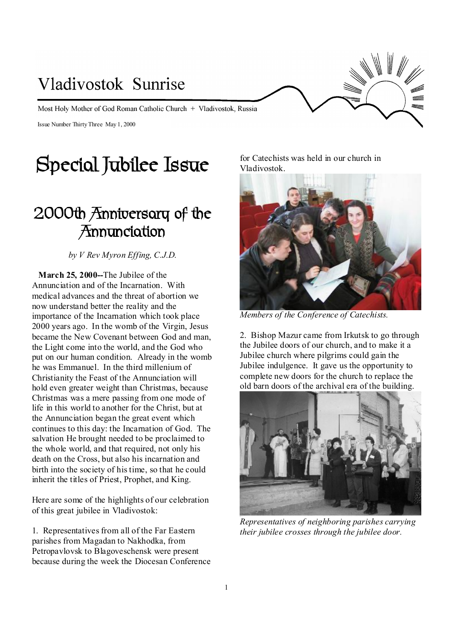# Vladivostok Sunrise Most Holy Mother of God Roman Catholic Church + Vladivostok, Russia Issue Number ThirtyThree May 1, 2000

## **Special Jubilee Issue**

## **2000th Anniversary of the Annunciation**

*by V Rev Myron Effing, C.J.D.* 

 **March 25, 2000--**The Jubilee of the Annunciation and of the Incarnation. With medical advances and the threat of abortion we now understand better the reality and the importance of the Incarnation which took place 2000 years ago. In the womb of the Virgin, Jesus became the New Covenant between God and man, the Light come into the world, and the God who put on our human condition. Already in the womb he was Emmanuel. In the third millenium of Christianity the Feast of the Annunciation will hold even greater weight than Christmas, because Christmas was a mere passing from one mode of life in this world to another for the Christ, but at the Annunciation began the great event which continues to this day: the Incarnation of God. The salvation He brought needed to be proclaimed to the whole world, and that required, not only his death on the Cross, but also his incarnation and birth into the society of histime, so that he could inherit the titles of Priest, Prophet, and King.

Here are some of the highlights of our celebration of this great jubilee in Vladivostok:

1. Representativesfrom all of the Far Eastern parishes from Magadan to Nakhodka, from Petropavlovsk to Blagoveschensk were present because during the week the Diocesan Conference for Catechists was held in our church in Vladivostok.



*Members of the Conference of Catechists.* 

2. Bishop Mazur came from Irkutsk to go through the Jubilee doors of our church, and to make it a Jubilee church where pilgrims could gain the Jubilee indulgence. It gave us the opportunity to complete new doors for the church to replace the old barn doors of the archival era of the building.



*Representatives of neighboring parishes carrying their jubilee crosses through the jubilee door.*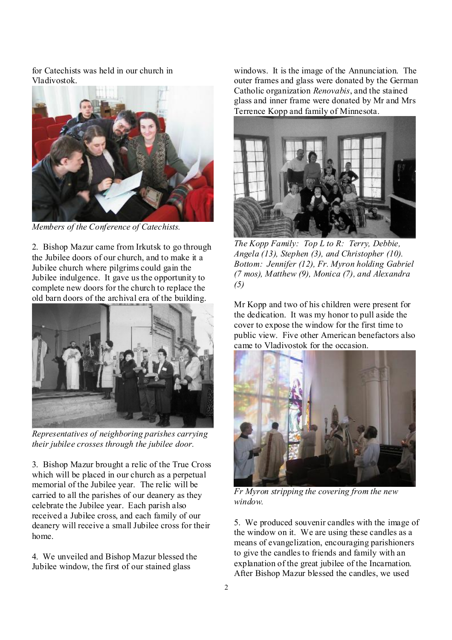for Catechists was held in our church in Vladivostok.



*Members of the Conference of Catechists.* 

2. Bishop Mazur came from Irkutsk to go through the Jubilee doors of our church, and to make it a Jubilee church where pilgrims could gain the Jubilee indulgence. It gave usthe opportunity to complete new doors for the church to replace the old barn doors of the archival era of the building.



*Representatives of neighboring parishes carrying their jubilee crosses through the jubilee door.* 

3. Bishop Mazur brought a relic of the True Cross which will be placed in our church as a perpetual memorial of the Jubilee year. The relic will be carried to all the parishes of our deanery as they celebrate the Jubilee year. Each parish also received a Jubilee cross, and each family of our deanery will receive a small Jubilee cross for their home.

4. We unveiled and Bishop Mazur blessed the Jubilee window, the first of our stained glass

windows. It is the image of the Annunciation. The outer frames and glass were donated by the German Catholic organization *Renovabis*, and the stained glass and inner frame were donated by Mr and Mrs Terrence Kopp and family of Minnesota.



*The Kopp Family: Top L to R: Terry, Debbie, Angela (13), Stephen (3), and Christopher (10). Bottom: Jennifer (12), Fr. Myron holding Gabriel (7 mos), Matthew (9), Monica (7), and Alexandra (5)* 

Mr Kopp and two of his children were present for the dedication. It was my honor to pull aside the cover to expose the window for the first time to public view. Five other American benefactors also came to Vladivostok for the occasion.



*Fr Myron stripping the covering from the new window.* 

5. We produced souvenir candles with the image of the window on it. We are using these candles as a means of evangelization, encouraging parishioners to give the candlesto friends and family with an explanation of the great jubilee of the Incarnation. After Bishop Mazur blessed the candles, we used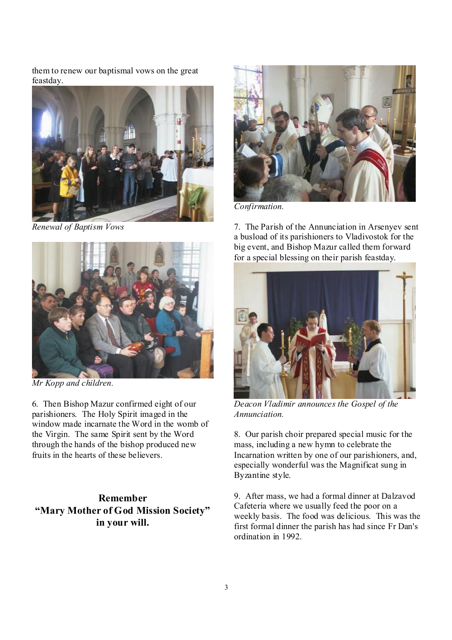them to renew our baptismal vows on the great feastday.



*Renewal of Baptism Vows* 



*Mr Kopp and children.* 

6. Then Bishop Mazur confirmed eight of our parishioners. The Holy Spirit imaged in the window made incarnate the Word in the womb of the Virgin. The same Spirit sent by the Word through the hands of the bishop produced new fruits in the hearts of these believers.

## **Remember "Mary Mother of God Mission Society" in your will.**



*Confirmation.* 

7. The Parish of the Annunciation in Arsenyev sent a busload of its parishioners to Vladivostok for the big event, and Bishop Mazur called them forward for a special blessing on their parish feastday.



*Deacon Vladimir announces the Gospel of the Annunciation.* 

8. Our parish choir prepared special music for the mass, including a new hymn to celebrate the Incarnation written by one of our parishioners, and, especially wonderful was the Magnificat sung in Byzantine style.

9. After mass, we had a formal dinner at Dalzavod Cafeteria where we usually feed the poor on a weekly basis. The food was delicious. This was the first formal dinner the parish has had since Fr Dan's ordination in 1992.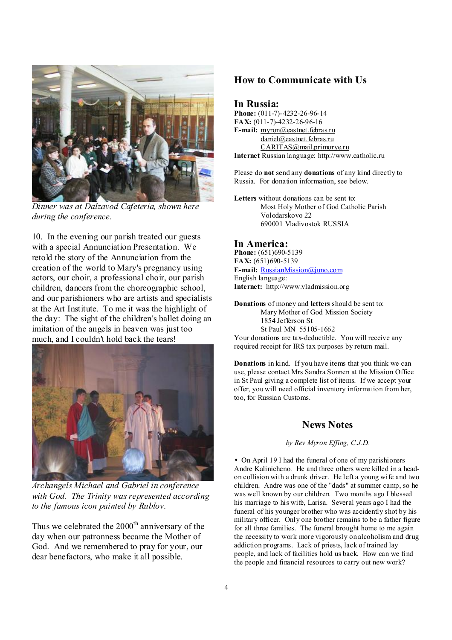

*Dinner was at Dalzavod Cafeteria, shown here during the conference.* 

10. In the evening our parish treated our guests with a special Annunciation Presentation. We retold the story of the Annunciation from the creation of the world to Mary's pregnancy using actors, our choir, a professional choir, our parish children, dancers from the choreographic school, and our parishioners who are artists and specialists at the Art Institute. To me it was the highlight of the day: The sight of the children's ballet doing an imitation of the angels in heaven was just too much, and I couldn't hold back the tears!



*Archangels Michael and Gabriel in conference with God. The Trinity was represented according to the famous icon painted by Rublov.* 

Thus we celebrated the  $2000<sup>th</sup>$  anniversary of the day when our patronness became the Mother of God. And we remembered to pray for your, our dear benefactors, who make it all possible.

### **How to Communicate with Us**

#### **In Russia:**

**Phone:** (011-7)-4232-26-96-14 **FAX:** (011-7)-4232-26-96-16 **E-mail:** [myron@eastnet.febras.ru](mailto:myron@eastnet.febras.ru) [daniel@eastnet.febras.ru](mailto:daniel@eastnet.febras.ru) [CARITAS@mail.primorye.ru](mailto:CARITAS@mail.primorye.ru) **Internet** Russian language: <http://www.catholic.ru>

Please do **not** send any **donations** of any kind directly to Russia. For donation information, see below.

**Letters** without donations can be sent to: Most Holy Mother of God Catholic Parish Volodarskovo 22 690001 Vladivostok RUSSIA

#### **In America:**

**Phone:** (651)690-5139 **FAX:** (651)690-5139 **E-mail:** [RussianMission@juno.com](mailto:RussianMission@juno.com) English language: **Internet:** <http://www.vladmission.org>

**Donations** of money and **letters** should be sent to: Mary Mother of God Mission Society 1854 Jefferson St St Paul MN 55105-1662 Your donations are tax-deductible. You will receive any required receipt for IRS tax purposes by return mail.

**Donations** in kind. If you have items that you think we can use, please contact Mrs Sandra Sonnen at the Mission Office in St Paul giving a complete list of items. If we accept your offer, you will need official inventory information from her, too, for Russian Customs.

#### **News Notes**

*by Rev Myron Effing, C.J.D.*

• On April 19 I had the funeral of one of my parishioners Andre Kalinicheno. He and three others were killed in a headon collision with a drunk driver. He left a young wife and two children. Andre was one of the "dads" at summer camp, so he was well known by our children. Two months ago I blessed his marriage to his wife, Larisa. Several years ago I had the funeral of his younger brother who was accidently shot by his military officer. Only one brother remains to be a father figure for all three families. The funeral brought home to me again the necessity to work more vigorously on alcoholism and drug addiction programs. Lack of priests, lack of trained lay people, and lack of facilities hold us back. How can we find the people and financial resources to carry out new work?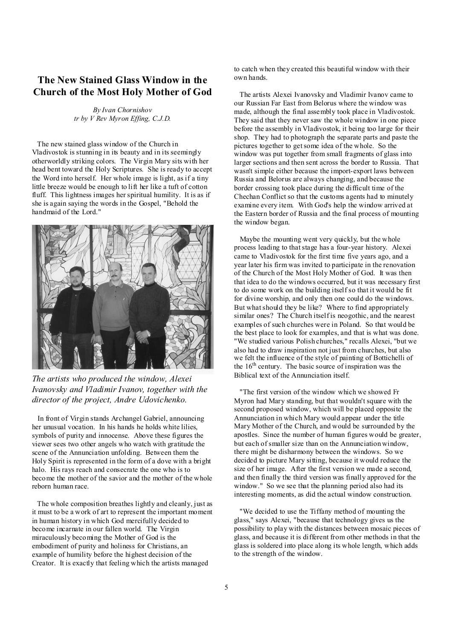### **The New Stained Glass Window in the Church of the Most Holy Mother of God**

*By Ivan Chornishov tr by V Rev Myron Effing, C.J.D.* 

The new stained glass window of the Church in Vladivostok is stunning in its beauty and in its seemingly otherworldly striking colors. The Virgin Mary sits with her head bent toward the Holy Scriptures. She is ready to accept the Word into herself. Her whole image is light, as if a tiny little breeze would be enough to lift her like a tuft of cotton fluff. This lightness images her spiritual humility. It is as if she is again saying the words in the Gospel, "Behold the handmaid of the Lord."



*The artists who produced the window, Alexei Ivanovsky and Vladimir Ivanov, together with the director of the project, Andre Udovichenko.* 

In front of Virgin stands Archangel Gabriel, announcing her unusual vocation. In his hands he holds white lilies, symbols of purity and innocense. Above these figures the viewer sees two other angels who watch with gratitude the scene of the Annunciation unfolding. Between them the Holy Spirit is represented in the form of a dove with a bright halo. His rays reach and consecrate the one who is to become the mother of the savior and the mother of the whole reborn human race.

The whole composition breathes lightly and cleanly, just as it must to be a work of art to represent the important moment in human history in which God mercifully decided to become incarnate in our fallen world. The Virgin miraculously becoming the Mother of God is the embodiment of purity and holiness for Christians, an example of humility before the highest decision of the Creator. It is exactly that feeling which the artists managed

to catch when they created this beautiful window with their own hands.

 The artists Alexei Ivanovsky and Vladimir Ivanov came to our Russian Far East from Belorus where the window was made, although the final assembly took place in Vladivostok. They said that they never saw the whole window in one piece before the assembly in Vladivostok, it being too large for their shop. They had to photograph the separate parts and paste the pictures together to getsome idea of the whole. So the window was put together from small fragments of glass into larger sections and then sent across the border to Russia. That wasn't simple either because the import-export laws between Russia and Belorus are always changing, and because the border crossing took place during the difficult time of the Chechan Conflict so that the customs agents had to minutely examine every item. With God's help the window arrived at the Eastern border of Russia and the final process of mounting the window began.

 Maybe the mounting went very quickly, but the whole process leading to thatstage has a four-year history. Alexei came to Vladivostok for the first time five years ago, and a year later his firm was invited to participate in the renovation of the Church of the Most Holy Mother of God. It was then that idea to do the windows occurred, but it was necessary first to do some work on the building itself so that it would be fit for divine worship, and only then one could do the windows. But whatshould they be like? Where to find appropriately similar ones? The Church itself is neogothic, and the nearest examples of such churches were in Poland. So that would be the best place to look for examples, and that is what was done. "We studied various Polish churches," recalls Alexei, "but we also had to draw inspiration not just from churches, but also we felt the influence of the style of painting of Bottichelli of the  $16<sup>th</sup>$  century. The basic source of inspiration was the Biblical text of the Annunciation itself.

 "The first version of the window which we showed Fr Myron had Mary standing, but that wouldn't square with the second proposed window, which will be placed opposite the Annunciation in which Mary would appear under the title Mary Mother of the Church, and would be surrounded by the apostles. Since the number of human figures would be greater, but each of smaller size than on the Annunciation window, there might be disharmony between the windows. So we decided to picture Mary sitting, because it would reduce the size of her image. After the first version we made a second, and then finally the third version was finally approved for the window." So we see that the planning period also had its interesting moments, as did the actual window construction.

 "We decided to use the Tiffany method of mounting the glass," says Alexei, "because that technology gives us the possibility to play with the distances between mosaic pieces of glass, and because it is different from other methods in that the glass is soldered into place along its whole length, which adds to the strength of the window.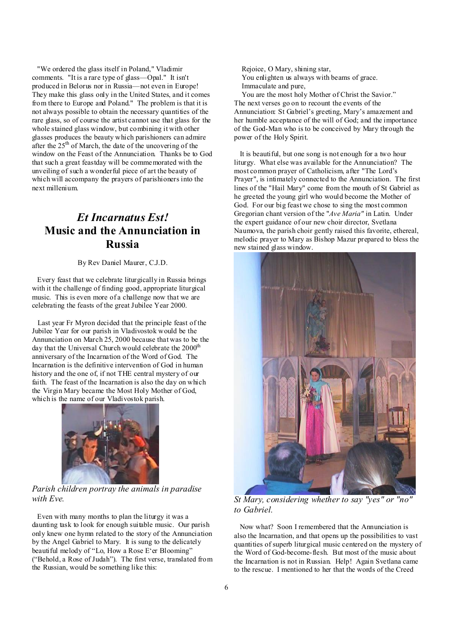"We ordered the glass itself in Poland," Vladimir comments. "It is a rare type of glass—Opal." It isn't produced in Belorus nor in Russia—not even in Europe! They make this glass only in the United States, and it comes from there to Europe and Poland." The problem is that it is not always possible to obtain the necessary quantities of the rare glass, so of course the artist cannot use that glass for the whole stained glass window, but combining it with other glasses produces the beauty which parishioners can admire after the  $25<sup>th</sup>$  of March, the date of the uncovering of the window on the Feast of the Annunciation. Thanks be to God that such a great feastday will be commemorated with the unveiling of such a wonderful piece of art the beauty of which will accompany the prayers of parishioners into the next millenium.

## *Et Incarnatus Est!*  **Music and the Annunciation in Russia**

By Rev Daniel Maurer, C.J.D.

Every feast that we celebrate liturgically in Russia brings with it the challenge of finding good, appropriate liturgical music. This is even more of a challenge now that we are celebrating the feasts of the great Jubilee Year 2000.

Last year Fr Myron decided that the principle feast of the Jubilee Year for our parish in Vladivostok would be the Annunciation on March 25, 2000 because that was to be the day that the Universal Church would celebrate the 2000<sup>th</sup> anniversary of the Incarnation of the Word of God. The Incarnation is the definitive intervention of God in human history and the one of, if not THE central mystery of our faith. The feast of the Incarnation is also the day on which the Virgin Mary became the Most Holy Mother of God, which is the name of our Vladivostok parish.



*Parish children portray the animals in paradise with Eve.* 

Even with many months to plan the liturgy it was a daunting task to look for enough suitable music. Our parish only knew one hymn related to the story of the Annunciation by the Angel Gabriel to Mary. It is sung to the delicately beautiful melody of "Lo, How a Rose E'er Blooming" ("Behold, a Rose of Judah"). The first verse, translated from the Russian, would be something like this:

 Rejoice, O Mary, shining star, You enlighten us always with beams of grace. Immaculate and pure,

 You are the most holy Mother of Christ the Savior." The next verses go on to recount the events of the Annunciation: St Gabriel's greeting, Mary's amazement and her humble acceptance of the will of God; and the importance of the God-Man who is to be conceived by Mary through the power of the Holy Spirit.

 It is beautiful, but one song is not enough for a two hour liturgy. What else was available for the Annunciation? The most common prayer of Catholicism, after "The Lord's Prayer", is intimately connected to the Annunciation. The first lines of the "Hail Mary" come from the mouth of St Gabriel as he greeted the young girl who would become the Mother of God. For our high feast we chose to sing the most common Gregorian chant version of the "*Ave Maria"* in Latin. Under the expert guidance of our new choir director, Svetlana Naumova, the parish choir gently raised this favorite, ethereal, melodic prayer to Mary as Bishop Mazur prepared to bless the new stained glass window.



*St Mary, considering whether to say "yes" or "no" to Gabriel.* 

 Now what? Soon I remembered that the Annunciation is also the Incarnation, and that opens up the possibilities to vast quantities of superb liturgical music centered on the mystery of the Word of God-become-flesh. But most of the music about the Incarnation is not in Russian. Help! Again Svetlana came to the rescue. I mentioned to her that the words of the Creed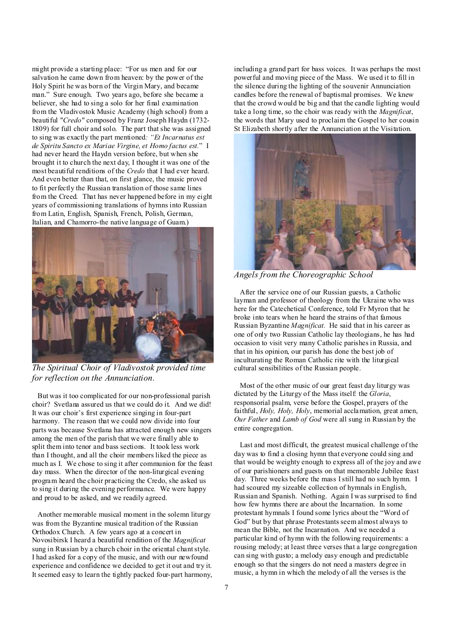might provide a starting place: "For us men and for our salvation he came down from heaven: by the power of the Holy Spirit he was born of the Virgin Mary, and became man." Sure enough. Two years ago, before she became a believer, she had to sing a solo for her final examination from the Vladivostok Music Academy (high school) from a beautiful "*Credo"* composed by Franz Joseph Haydn (1732- 1809) for full choir and solo. The part that she was assigned to sing was exactly the part mentioned*: "Et Incarnatus est de Spiritu Sancto ex Mariae Virgine, et Homo factus est.*" I had never heard the Haydn version before, but when she brought it to church the next day, I thought it was one of the most beautiful renditions of the *Credo* that I had ever heard. And even better than that, on first glance, the music proved to fit perfectly the Russian translation of those same lines from the Creed. That has never happened before in my eight years of commissioning translations of hymns into Russian from Latin, English, Spanish, French, Polish, German, Italian, and Chamorro-the native language of Guam.)



*The Spiritual Choir of Vladivostok provided time for reflection on the Annunciation.* 

But was it too complicated for our non-professional parish choir? Svetlana assured us that we could do it. And we did! It was our choir's first experience singing in four-part harmony. The reason that we could now divide into four parts was because Svetlana has attracted enough new singers among the men of the parish that we were finally able to split them into tenor and bass sections. It took less work than I thought, and all the choir members liked the piece as much as I. We chose to sing it after communion for the feast day mass. When the director of the non-liturgical evening program heard the choir practicing the Credo, she asked us to sing it during the evening performance. We were happy and proud to be asked, and we readily agreed.

Another memorable musical moment in the solemn liturgy was from the Byzantine musical tradition of the Russian Orthodox Church. A few years ago at a concert in Novosibirsk I heard a beautiful rendition of the *Magnificat* sung in Russian by a church choir in the oriental chantstyle. I had asked for a copy of the music, and with our newfound experience and confidence we decided to get it out and try it. It seemed easy to learn the tightly packed four-part harmony, including a grand part for bass voices. It was perhaps the most powerful and moving piece of the Mass. We used it to fill in the silence during the lighting of the souvenir Annunciation candles before the renewal of baptismal promises. We knew that the crowd would be big and that the candle lighting would take a long time, so the choir was ready with the *Magnificat*, the words that Mary used to proclaim the Gospel to her cousin St Elizabeth shortly after the Annunciation at the Visitation.



*Angels from the Choreographic School* 

 After the service one of our Russian guests, a Catholic layman and professor of theology from the Ukraine who was here for the Catechetical Conference, told Fr Myron that he broke into tears when he heard the strains of that famous Russian Byzantine *Magnificat.* He said that in his career as one of only two Russian Catholic lay theologians, he has had occasion to visit very many Catholic parishes in Russia, and that in his opinion, our parish has done the best job of inculturating the Roman Catholic rite with the liturgical cultural sensibilities of the Russian people.

 Most of the other music of our great feast day liturgy was dictated by the Liturgy of the Mass itself: the *Gloria*, responsorial psalm, verse before the Gospel, prayers of the faithful, *Holy, Holy, Holy*, memorial acclamation, great amen, *Our Father* and *Lamb of God* were all sung in Russian by the entire congregation.

 Last and most difficult, the greatest musical challenge of the day was to find a closing hymn that everyone could sing and that would be weighty enough to express all of the joy and awe of our parishioners and guests on that memorable Jubilee feast day. Three weeks before the mass Istill had no such hymn. I had scoured my sizeable collection of hymnals in English, Russian and Spanish. Nothing. Again I was surprised to find how few hymns there are about the Incarnation. In some protestant hymnals I found some lyrics about the "Word of God" but by that phrase Protestants seem almost always to mean the Bible, not the Incarnation. And we needed a particular kind of hymn with the following requirements: a rousing melody; at least three verses that a large congregation can sing with gusto; a melody easy enough and predictable enough so that the singers do not need a masters degree in music, a hymn in which the melody of all the verses is the